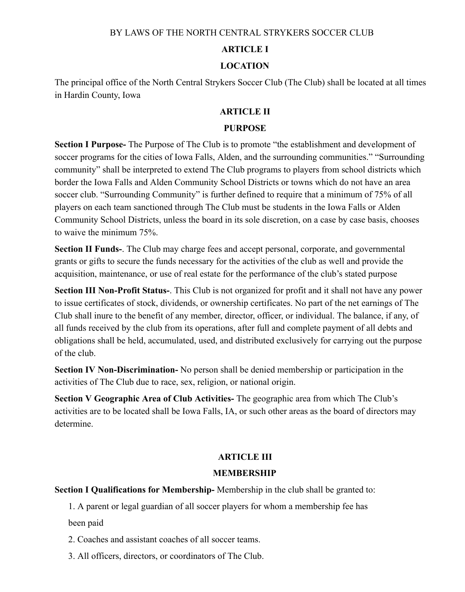## BY LAWS OF THE NORTH CENTRAL STRYKERS SOCCER CLUB

### **ARTICLE I**

## **LOCATION**

The principal office of the North Central Strykers Soccer Club (The Club) shall be located at all times in Hardin County, Iowa

## **ARTICLE II**

#### **PURPOSE**

**Section I Purpose-** The Purpose of The Club is to promote "the establishment and development of soccer programs for the cities of Iowa Falls, Alden, and the surrounding communities." "Surrounding community" shall be interpreted to extend The Club programs to players from school districts which border the Iowa Falls and Alden Community School Districts or towns which do not have an area soccer club. "Surrounding Community" is further defined to require that a minimum of 75% of all players on each team sanctioned through The Club must be students in the Iowa Falls or Alden Community School Districts, unless the board in its sole discretion, on a case by case basis, chooses to waive the minimum 75%.

**Section II Funds-**. The Club may charge fees and accept personal, corporate, and governmental grants or gifts to secure the funds necessary for the activities of the club as well and provide the acquisition, maintenance, or use of real estate for the performance of the club's stated purpose

**Section III Non-Profit Status-**. This Club is not organized for profit and it shall not have any power to issue certificates of stock, dividends, or ownership certificates. No part of the net earnings of The Club shall inure to the benefit of any member, director, officer, or individual. The balance, if any, of all funds received by the club from its operations, after full and complete payment of all debts and obligations shall be held, accumulated, used, and distributed exclusively for carrying out the purpose of the club.

**Section IV Non-Discrimination-** No person shall be denied membership or participation in the activities of The Club due to race, sex, religion, or national origin.

**Section V Geographic Area of Club Activities-** The geographic area from which The Club's activities are to be located shall be Iowa Falls, IA, or such other areas as the board of directors may determine.

# **ARTICLE III**

## **MEMBERSHIP**

**Section I Qualifications for Membership-** Membership in the club shall be granted to:

1. A parent or legal guardian of all soccer players for whom a membership fee has

been paid

2. Coaches and assistant coaches of all soccer teams.

3. All officers, directors, or coordinators of The Club.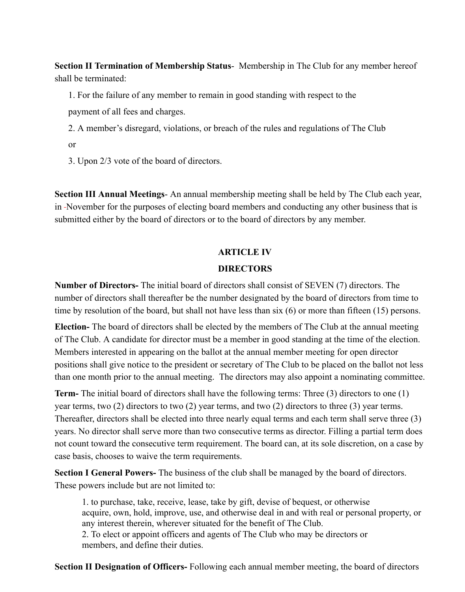**Section II Termination of Membership Status**- Membership in The Club for any member hereof shall be terminated:

1. For the failure of any member to remain in good standing with respect to the

payment of all fees and charges.

2. A member's disregard, violations, or breach of the rules and regulations of The Club

or

3. Upon 2/3 vote of the board of directors.

**Section III Annual Meetings**- An annual membership meeting shall be held by The Club each year, in November for the purposes of electing board members and conducting any other business that is submitted either by the board of directors or to the board of directors by any member.

# **ARTICLE IV**

# **DIRECTORS**

**Number of Directors-** The initial board of directors shall consist of SEVEN (7) directors. The number of directors shall thereafter be the number designated by the board of directors from time to time by resolution of the board, but shall not have less than six (6) or more than fifteen (15) persons.

**Election-** The board of directors shall be elected by the members of The Club at the annual meeting of The Club. A candidate for director must be a member in good standing at the time of the election. Members interested in appearing on the ballot at the annual member meeting for open director positions shall give notice to the president or secretary of The Club to be placed on the ballot not less than one month prior to the annual meeting. The directors may also appoint a nominating committee.

**Term-** The initial board of directors shall have the following terms: Three (3) directors to one (1) year terms, two (2) directors to two (2) year terms, and two (2) directors to three (3) year terms. Thereafter, directors shall be elected into three nearly equal terms and each term shall serve three (3) years. No director shall serve more than two consecutive terms as director. Filling a partial term does not count toward the consecutive term requirement. The board can, at its sole discretion, on a case by case basis, chooses to waive the term requirements.

**Section I General Powers-** The business of the club shall be managed by the board of directors. These powers include but are not limited to:

1. to purchase, take, receive, lease, take by gift, devise of bequest, or otherwise acquire, own, hold, improve, use, and otherwise deal in and with real or personal property, or any interest therein, wherever situated for the benefit of The Club. 2. To elect or appoint officers and agents of The Club who may be directors or members, and define their duties.

**Section II Designation of Officers-** Following each annual member meeting, the board of directors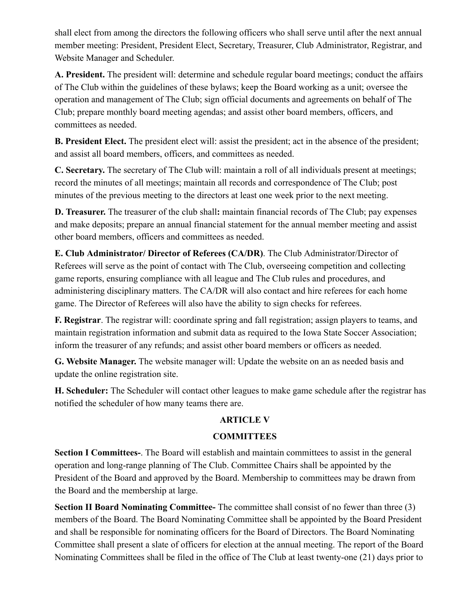shall elect from among the directors the following officers who shall serve until after the next annual member meeting: President, President Elect, Secretary, Treasurer, Club Administrator, Registrar, and Website Manager and Scheduler.

**A. President.** The president will: determine and schedule regular board meetings; conduct the affairs of The Club within the guidelines of these bylaws; keep the Board working as a unit; oversee the operation and management of The Club; sign official documents and agreements on behalf of The Club; prepare monthly board meeting agendas; and assist other board members, officers, and committees as needed.

**B. President Elect.** The president elect will: assist the president; act in the absence of the president; and assist all board members, officers, and committees as needed.

**C. Secretary.** The secretary of The Club will: maintain a roll of all individuals present at meetings; record the minutes of all meetings; maintain all records and correspondence of The Club; post minutes of the previous meeting to the directors at least one week prior to the next meeting.

**D. Treasurer.** The treasurer of the club shall**:** maintain financial records of The Club; pay expenses and make deposits; prepare an annual financial statement for the annual member meeting and assist other board members, officers and committees as needed.

**E. Club Administrator/ Director of Referees (CA/DR)**. The Club Administrator/Director of Referees will serve as the point of contact with The Club, overseeing competition and collecting game reports, ensuring compliance with all league and The Club rules and procedures, and administering disciplinary matters. The CA/DR will also contact and hire referees for each home game. The Director of Referees will also have the ability to sign checks for referees.

**F. Registrar**. The registrar will: coordinate spring and fall registration; assign players to teams, and maintain registration information and submit data as required to the Iowa State Soccer Association; inform the treasurer of any refunds; and assist other board members or officers as needed.

**G. Website Manager.** The website manager will: Update the website on an as needed basis and update the online registration site.

**H. Scheduler:** The Scheduler will contact other leagues to make game schedule after the registrar has notified the scheduler of how many teams there are.

# **ARTICLE V**

# **COMMITTEES**

**Section I Committees-**. The Board will establish and maintain committees to assist in the general operation and long-range planning of The Club. Committee Chairs shall be appointed by the President of the Board and approved by the Board. Membership to committees may be drawn from the Board and the membership at large.

**Section II Board Nominating Committee-** The committee shall consist of no fewer than three (3) members of the Board. The Board Nominating Committee shall be appointed by the Board President and shall be responsible for nominating officers for the Board of Directors. The Board Nominating Committee shall present a slate of officers for election at the annual meeting. The report of the Board Nominating Committees shall be filed in the office of The Club at least twenty-one (21) days prior to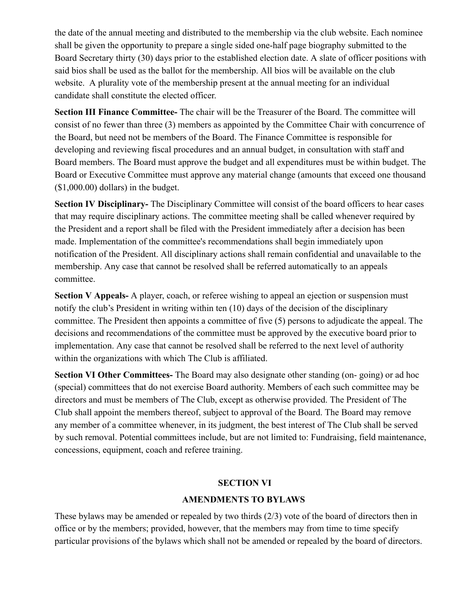the date of the annual meeting and distributed to the membership via the club website. Each nominee shall be given the opportunity to prepare a single sided one-half page biography submitted to the Board Secretary thirty (30) days prior to the established election date. A slate of officer positions with said bios shall be used as the ballot for the membership. All bios will be available on the club website. A plurality vote of the membership present at the annual meeting for an individual candidate shall constitute the elected officer.

**Section III Finance Committee-** The chair will be the Treasurer of the Board. The committee will consist of no fewer than three (3) members as appointed by the Committee Chair with concurrence of the Board, but need not be members of the Board. The Finance Committee is responsible for developing and reviewing fiscal procedures and an annual budget, in consultation with staff and Board members. The Board must approve the budget and all expenditures must be within budget. The Board or Executive Committee must approve any material change (amounts that exceed one thousand (\$1,000.00) dollars) in the budget.

**Section IV Disciplinary-** The Disciplinary Committee will consist of the board officers to hear cases that may require disciplinary actions. The committee meeting shall be called whenever required by the President and a report shall be filed with the President immediately after a decision has been made. Implementation of the committee's recommendations shall begin immediately upon notification of the President. All disciplinary actions shall remain confidential and unavailable to the membership. Any case that cannot be resolved shall be referred automatically to an appeals committee.

**Section V Appeals-** A player, coach, or referee wishing to appeal an ejection or suspension must notify the club's President in writing within ten (10) days of the decision of the disciplinary committee. The President then appoints a committee of five (5) persons to adjudicate the appeal. The decisions and recommendations of the committee must be approved by the executive board prior to implementation. Any case that cannot be resolved shall be referred to the next level of authority within the organizations with which The Club is affiliated.

**Section VI Other Committees-** The Board may also designate other standing (on- going) or ad hoc (special) committees that do not exercise Board authority. Members of each such committee may be directors and must be members of The Club, except as otherwise provided. The President of The Club shall appoint the members thereof, subject to approval of the Board. The Board may remove any member of a committee whenever, in its judgment, the best interest of The Club shall be served by such removal. Potential committees include, but are not limited to: Fundraising, field maintenance, concessions, equipment, coach and referee training.

# **SECTION VI**

# **AMENDMENTS TO BYLAWS**

These bylaws may be amended or repealed by two thirds (2/3) vote of the board of directors then in office or by the members; provided, however, that the members may from time to time specify particular provisions of the bylaws which shall not be amended or repealed by the board of directors.